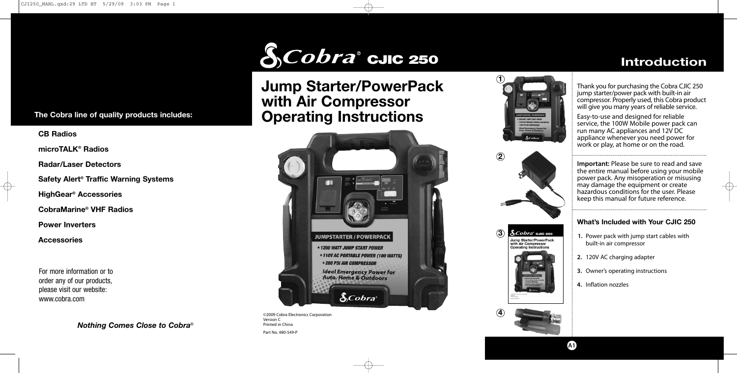

# **Jump Starter/PowerPack with Air Compressor Operating Instructions**



©2009 Cobra Electronics Corporation Version C Printed in China Part No. 480-549-P



&Cobra' сле 250

**Operating Instructions** 

Jump Starter/PowerPack with Air Compressor

**4**

 $\mathbf{Q}$ 

 $\circled{3}$ 

Thank you for purchasing the Cobra CJIC 250 jump starter/power pack with built-in air compressor. Properly used, this Cobra product will give you many years of reliable service.

**Introduction**

Easy-to-use and designed for reliable service, the 100W Mobile power pack can run many AC appliances and 12V DC appliance whenever you need power for work or play, at home or on the road.

**Important:** Please be sure to read and save the entire manual before using your mobile power pack. Any misoperation or misusing may damage the equipment or create hazardous conditions for the user. Please keep this manual for future reference.

## **What's Included with Your CJIC 250**

- **1.** Power pack with jump start cables with built-in air compressor
- **2.** 120V AC charging adapter
- **3.** Owner's operating instructions
- **4.** Inflation nozzles

**A1**

# **The Cobra line of quality products includes:**

**CB Radios**

**microTALK ® Radios**

**Radar/Laser Detectors**

**Safety Alert ® Traffic Warning Systems**

**HighGear ® Accessories**

**CobraMarine ® VHF Radios**

**Power Inverters**

**Accessories**

For more information or to order any of our products, please visit our website: www.cobra.com

*Nothing Comes Close to Cobra* ®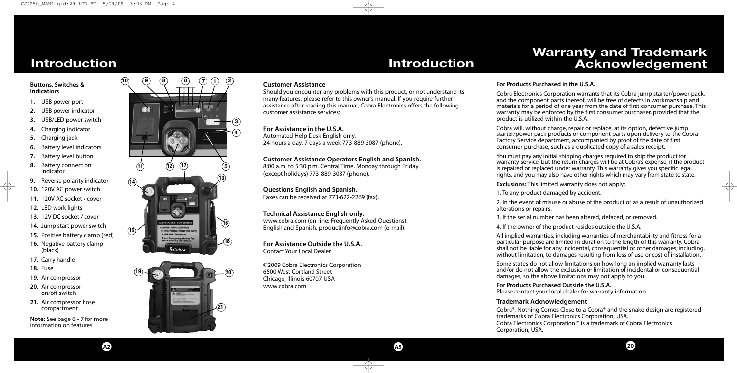# **Warranty and Trademark Acknowledgement**

#### **Buttons, Switches & Indicatiors**

- **1.** USB power port
- **2.** USB power indicator
- **3.** USB/LED power switch
- **4.** Charging indicator
- **5.** Charging jack
- **6.** Battery level indicators
- **7.** Battery level button
- **8.** Battery connection indicator
- **9.** Reverse polarity indicator
- **10.** 120V AC power switch
- **11.** 120V AC socket / cover
- **12.** LED work lights
- **13.** 12V DC socket / cover
- **14.** Jump start power switch
- **15.** Positive battery clamp (red)
- **16.** Negative battery clamp (black)
- **17.** Carry handle
- **18.** Fuse
- **19.** Air compressor
- **20.** Air compressor on/off switch
- **21.** Air compressor hose compartment

**Note:** See page 6 - 7 for more information on features.





#### **Customer Assistance**

Should you encounter any problems with this product, or not understand its many features, please refer to this owner's manual. If you require further assistance after reading this manual, Cobra Electronics offers the following customer assistance services:

#### **For Assistance in the U.S.A.**

Automated Help Desk English only. 24 hours a day, 7 days a week 773-889-3087 (phone).

**Customer Assistance Operators English and Spanish.** 8:00 a.m. to 5:30 p.m. Central Time, Monday through Friday (except holidays) 773-889-3087 (phone).

**Questions English and Spanish.** Faxes can be received at 773-622-2269 (fax).

**Technical Assistance English only.** www.cobra.com (on-line: Frequently Asked Questions). English and Spanish. productinfo@cobra.com (e-mail).

**For Assistance Outside the U.S.A.** Contact Your Local Dealer

©2009 Cobra Electronics Corporation 6500 West Cortland Street Chicago, Illinois 60707 USA www.cobra.com

#### **For Products Purchased in the U.S.A.**

Cobra Electronics Corporation warrants that its Cobra jump starter/power pack, and the component parts thereof, will be free of defects in workmanship and materials for a period of one year from the date of first consumer purchase. This warranty may be enforced by the first consumer purchaser, provided that the product is utilized within the U.S.A.

Cobra will, without charge, repair or replace, at its option, defective jump starter/power pack products or component parts upon delivery to the Cobra Factory Service department, accompanied by proof of the date of first consumer purchase, such as a duplicated copy of a sales receipt.

You must pay any initial shipping charges required to ship the product for warranty service, but the return charges will be at Cobra's expense, if the product is repaired or replaced under warranty. This warranty gives you specific legal rights, and you may also have other rights which may vary from state to state.

**Exclusions:** This limited warranty does not apply:

1. To any product damaged by accident.

2. In the event of misuse or abuse of the product or as a result of unauthorized alterations or repairs.

3. If the serial number has been altered, defaced, or removed.

4. If the owner of the product resides outside the U.S.A.

All implied warranties, including warranties of merchantability and fitness for a particular purpose are limited in duration to the length of this warranty. Cobra shall not be liable for any incidental, consequential or other damages; including, without limitation, to damages resulting from loss of use or cost of installation.

Some states do not allow limitations on how long an implied warranty lasts and/or do not allow the exclusion or limitation of incidental or consequential damages, so the above limitations may not apply to you.

**For Products Purchased Outside the U.S.A.** Please contact your local dealer for warranty information.

#### **Trademark Acknowledgement**

Cobra®, Nothing Comes Close to a Cobra® and the snake design are registered trademarks of Cobra Electronics Corporation, USA.

Cobra Electronics Corporation™ is a trademark of Cobra Electronics Corporation, USA.

**A2 A3**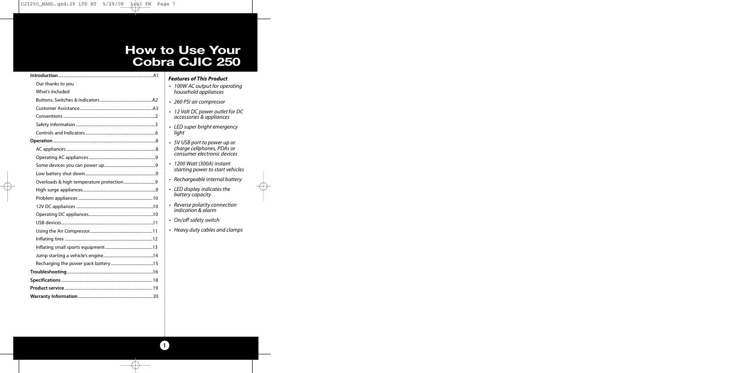# **How to Use Your Cobra CJIC 250**

| Our thanks to you |
|-------------------|
| What's included   |
|                   |
|                   |
|                   |
|                   |
|                   |
|                   |
|                   |
|                   |
|                   |
|                   |
|                   |
|                   |
|                   |
|                   |
|                   |
|                   |
|                   |
|                   |
|                   |
|                   |
|                   |
|                   |
|                   |
|                   |
|                   |

| Features of This Product                                                                  |
|-------------------------------------------------------------------------------------------|
| 100W AC output for operating<br>household appliances                                      |
| • 260 PSI air compressor                                                                  |
| • 12 Volt DC power outlet for DC<br>accessories & appliances                              |
| • LED super bright emergency<br>light                                                     |
| • 5V USB port to power up or<br>charge cellphones, PDAs or<br>consumer electronic devices |
| • 1200 Watt (300A) instant<br>starting power to start vehicles                            |
| · Rechargeable internal battery                                                           |
| • LED display indicates the<br>battery capacity                                           |

*• On/off safety switch • Heavy duty cables and clamps* ⊕

*• Reverse polarity connection indication & alarm*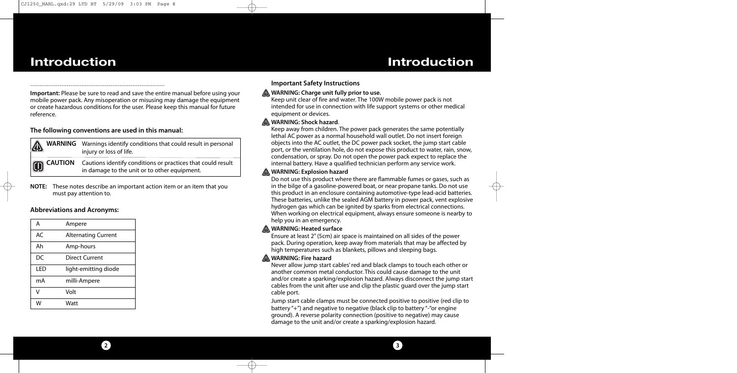**Important:** Please be sure to read and save the entire manual before using your mobile power pack. Any misoperation or misusing may damage the equipment or create hazardous conditions for the user. Please keep this manual for future reference.

#### **The following conventions are used in this manual:**

| $\mathbf{\Lambda}$ | <b>WARNING</b> Warnings identify conditions that could result in personal<br>injury or loss of life.                                                                                                                                                                              |
|--------------------|-----------------------------------------------------------------------------------------------------------------------------------------------------------------------------------------------------------------------------------------------------------------------------------|
|                    | CAUTION Cautions identify conditions or practices that could result<br>in damage to the unit or to the set of the set of the set of the set of the set of the set of the set of the set of the set of the set of the set of the s<br>in damage to the unit or to other equipment. |

**NOTE:** These notes describe an important action item or an item that you must pay attention to.

#### **Abbreviations and Acronyms:**

| A   | Ampere                     |
|-----|----------------------------|
| AC  | <b>Alternating Current</b> |
| Ah  | Amp-hours                  |
| DC  | Direct Current             |
| LED | light-emitting diode       |
| mA  | milli-Ampere               |
| v   | Volt                       |
| w   | Watt                       |

#### **Important Safety Instructions**

#### **WARNING: Charge unit fully prior to use.**

Keep unit clear of fire and water. The 100W mobile power pack is not intended for use in connection with life support systems or other medical equipment or devices.

#### **A WARNING: Shock hazard.**

Keep away from children. The power pack generates the same potentially lethal AC power as a normal household wall outlet. Do not insert foreign objects into the AC outlet, the DC power pack socket, the jump start cable port, or the ventilation hole, do not expose this product to water, rain, snow, condensation, or spray. Do not open the power pack expect to replace the internal battery. Have a qualified technician perform any service work.

#### **WARNING: Explosion hazard**

Do not use this product where there are flammable fumes or gases, such as in the bilge of a gasoline-powered boat, or near propane tanks. Do not use this product in an enclosure containing automotive-type lead-acid batteries. These batteries, unlike the sealed AGM battery in power pack, vent explosive hydrogen gas which can be ignited by sparks from electrical connections. When working on electrical equipment, always ensure someone is nearby to help you in an emergency.

#### **WARNING: Heated surface**

Ensure at least 2" (5cm) air space is maintained on all sides of the power pack. During operation, keep away from materials that may be affected by high temperatures such as blankets, pillows and sleeping bags.

#### **WARNING: Fire hazard**

Never allow jump start cables' red and black clamps to touch each other or another common metal conductor. This could cause damage to the unit and/or create a sparking/explosion hazard. Always disconnect the jump start cables from the unit after use and clip the plastic guard over the jump start cable port.

Jump start cable clamps must be connected positive to positive (red clip to battery "+") and negative to negative (black clip to battery "-"or engine ground). A reverse polarity connection (positive to negative) may cause damage to the unit and/or create a sparking/explosion hazard.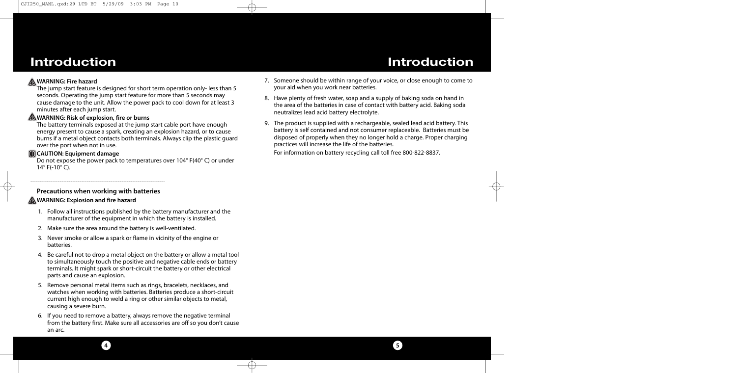### **WARNING: Fire hazard**

The jump start feature is designed for short term operation only- less than 5 seconds. Operating the jump start feature for more than 5 seconds may cause damage to the unit. Allow the power pack to cool down for at least 3 minutes after each jump start.

### **WARNING: Risk of explosion, fire or burns**

The battery terminals exposed at the jump start cable port have enough energy present to cause a spark, creating an explosion hazard, or to cause burns if a metal object contacts both terminals. Always clip the plastic guard over the port when not in use.

## **CAUTION: Equipment damage**

Do not expose the power pack to temperatures over 104° F(40° C) or under 14° F(-10° C).

## **Precautions when working with batteries**

## **AWARNING: Explosion and fire hazard**

- 1. Follow all instructions published by the battery manufacturer and the manufacturer of the equipment in which the battery is installed.
- 2. Make sure the area around the battery is well-ventilated.
- 3. Never smoke or allow a spark or flame in vicinity of the engine or batteries.
- 4. Be careful not to drop a metal object on the battery or allow a metal tool to simultaneously touch the positive and negative cable ends or battery terminals. It might spark or short-circuit the battery or other electrical parts and cause an explosion.
- 5. Remove personal metal items such as rings, bracelets, necklaces, and watches when working with batteries. Batteries produce a short-circuit current high enough to weld a ring or other similar objects to metal, causing a severe burn.
- 6. If you need to remove a battery, always remove the negative terminal from the battery first. Make sure all accessories are off so you don't cause an arc.

**4 5**

- 7. Someone should be within range of your voice, or close enough to come to your aid when you work near batteries.
- 8. Have plenty of fresh water, soap and a supply of baking soda on hand in the area of the batteries in case of contact with battery acid. Baking soda neutralizes lead acid battery electrolyte.
- 9. The product is supplied with a rechargeable, sealed lead acid battery. This battery is self contained and not consumer replaceable. Batteries must be disposed of properly when they no longer hold a charge. Proper charging practices will increase the life of the batteries.

For information on battery recycling call toll free 800-822-8837.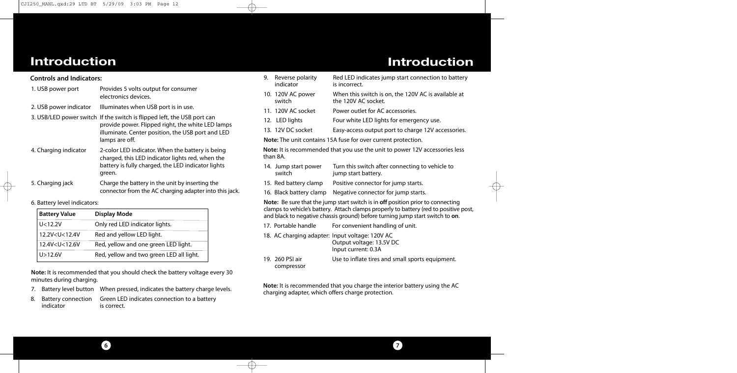| <b>Controls and Indicators:</b> |                                                                                                                                                                                                     |  |
|---------------------------------|-----------------------------------------------------------------------------------------------------------------------------------------------------------------------------------------------------|--|
| 1. USB power port               | Provides 5 volts output for consumer<br>electronics devices.                                                                                                                                        |  |
| 2. USB power indicator          | Illuminates when USB port is in use.                                                                                                                                                                |  |
|                                 | 3. USB/LED power switch If the switch is flipped left, the USB port can<br>provide power. Flipped right, the white LED lamps<br>illuminate. Center position, the USB port and LED<br>lamps are off. |  |
| 4. Charging indicator           | 2-color LED indicator. When the battery is being<br>charged, this LED indicator lights red, when the<br>battery is fully charged, the LED indicator lights<br>green.                                |  |
| 5. Charging jack                | Charge the battery in the unit by inserting the<br>connector from the AC charging adapter into this jack.                                                                                           |  |

6. Battery level indicators:

| <b>Battery Value</b>                                                           | <b>Display Mode</b>                      |  |
|--------------------------------------------------------------------------------|------------------------------------------|--|
| U < 12.2V                                                                      | Only red LED indicator lights.           |  |
| 12.2V <u<12.4v< td=""><td>Red and yellow LED light.</td></u<12.4v<>            | Red and yellow LED light.                |  |
| 12.4V <u<12.6v< td=""><td>Red, yellow and one green LED light.</td></u<12.6v<> | Red, yellow and one green LED light.     |  |
| U > 12.6V                                                                      | Red, yellow and two green LED all light. |  |

**Note:** It is recommended that you should check the battery voltage every 30 minutes during charging.

- 7. Battery level button When pressed, indicates the battery charge levels.
- Green LED indicates connection to a battery<br>is correct. 8. Battery connection<br>indicator

| 9. | Reverse polarity<br>indicator  | Red LED indicates jump start connection to battery<br>is incorrect.                                                                                                                                                                                       |
|----|--------------------------------|-----------------------------------------------------------------------------------------------------------------------------------------------------------------------------------------------------------------------------------------------------------|
|    | 10. 120V AC power<br>switch    | When this switch is on, the 120V AC is available at<br>the 120V AC socket.                                                                                                                                                                                |
|    | 11. 120V AC socket             | Power outlet for AC accessories.                                                                                                                                                                                                                          |
|    | 12. LED lights                 | Four white LED lights for emergency use.                                                                                                                                                                                                                  |
|    | 13. 12V DC socket              | Easy-access output port to charge 12V accessories.                                                                                                                                                                                                        |
|    |                                | Note: The unit contains 15A fuse for over current protection.                                                                                                                                                                                             |
|    | than 8A.                       | <b>Note:</b> It is recommended that you use the unit to power 12V accessories less                                                                                                                                                                        |
|    | 14. Jump start power<br>switch | Turn this switch after connecting to vehicle to<br>jump start battery.                                                                                                                                                                                    |
|    | 15. Red battery clamp          | Positive connector for jump starts.                                                                                                                                                                                                                       |
|    | 16. Black battery clamp        | Negative connector for jump starts.                                                                                                                                                                                                                       |
|    |                                | Note: Be sure that the jump start switch is in off position prior to connecting<br>clamps to vehicle's battery. Attach clamps properly to battery (red to positive post,<br>and black to negative chassis ground) before turning jump start switch to on. |
|    | 17. Portable handle            | For convenient handling of unit.                                                                                                                                                                                                                          |
|    |                                | 18. AC charging adapter: Input voltage: 120V AC<br>Output voltage: 13.5V DC<br>Input current: 0.3A                                                                                                                                                        |
|    | 19. 260 PSI air<br>compressor  | Use to inflate tires and small sports equipment.                                                                                                                                                                                                          |

**Note:** It is recommended that you charge the interior battery using the AC charging adapter, which offers charge protection.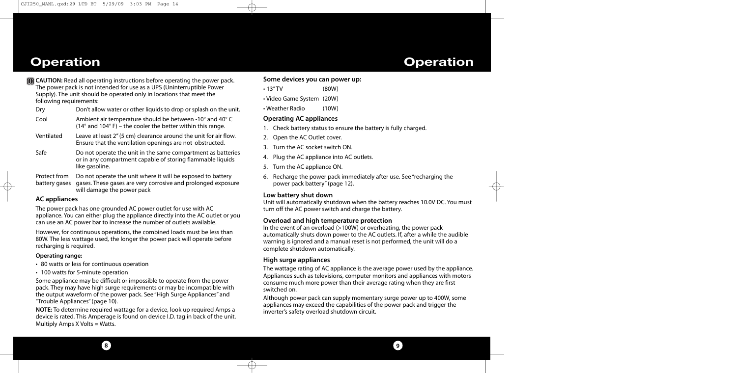# **Operation**

# **Operation**

- **TRICAUTION:** Read all operating instructions before operating the power pack. The power pack is not intended for use as a UPS (Uninterruptible Power Supply). The unit should be operated only in locations that meet the following requirements:
	- Dry Don't allow water or other liquids to drop or splash on the unit.
	- Cool Ambient air temperature should be between -10° and 40° C (14° and 104° F) – the cooler the better within this range.
	- Ventilated Leave at least 2" (5 cm) clearance around the unit for air flow. Ensure that the ventilation openings are not obstructed.
	- Safe Do not operate the unit in the same compartment as batteries or in any compartment capable of storing flammable liquids like gasoline.
	- Protect from Do not operate the unit where it will be exposed to battery battery gases gases. These gases are very corrosive and prolonged exposure will damage the power pack

### **AC appliances**

The power pack has one grounded AC power outlet for use with AC appliance. You can either plug the appliance directly into the AC outlet or you can use an AC power bar to increase the number of outlets available.

However, for continuous operations, the combined loads must be less than 80W. The less wattage used, the longer the power pack will operate before recharging is required.

#### **Operating range:**

• 80 watts or less for continuous operation

**8**

• 100 watts for 5-minute operation

Some appliance may be difficult or impossible to operate from the power pack. They may have high surge requirements or may be incompatible with the output waveform of the power pack. See "High Surge Appliances" and "Trouble Appliances" (page 10).

**NOTE:** To determine required wattage for a device, look up required Amps a device is rated. This Amperage is found on device I.D. tag in back of the unit. Multiply Amps X Volts = Watts.

#### **Some devices you can power up:**

- 13" TV (80W)
- Video Game System (20W)
- Weather Radio (10W)

### **Operating AC appliances**

- 1. Check battery status to ensure the battery is fully charged.
- 2. Open the AC Outlet cover.
- 3. Turn the AC socket switch ON.
- 4. Plug the AC appliance into AC outlets.
- 5. Turn the AC appliance ON.
- 6. Recharge the power pack immediately after use. See "recharging the power pack battery" (page 12).

#### **Low battery shut down**

Unit will automatically shutdown when the battery reaches 10.0V DC. You must turn off the AC power switch and charge the battery.

#### **Overload and high temperature protection**

In the event of an overload  $(>100W)$  or overheating, the power pack automatically shuts down power to the AC outlets. If, after a while the audible warning is ignored and a manual reset is not performed, the unit will do a complete shutdown automatically.

#### **High surge appliances**

The wattage rating of AC appliance is the average power used by the appliance. Appliances such as televisions, computer monitors and appliances with motors consume much more power than their average rating when they are first switched on.

Although power pack can supply momentary surge power up to 400W, some appliances may exceed the capabilities of the power pack and trigger the inverter's safety overload shutdown circuit.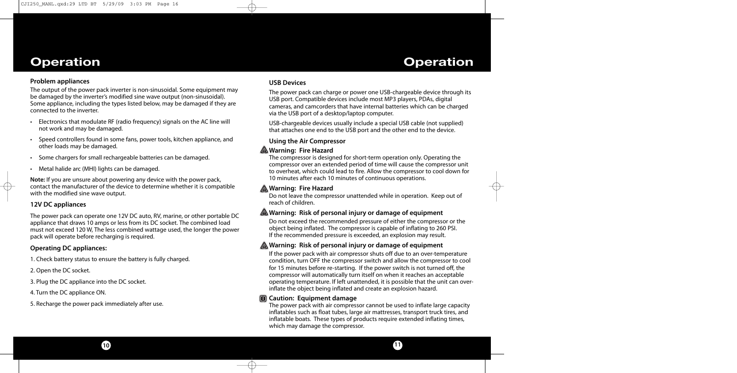# **Operation Operation**

#### **Problem appliances**

The output of the power pack inverter is non-sinusoidal. Some equipment may be damaged by the inverter's modified sine wave output (non-sinusoidal). Some appliance, including the types listed below, may be damaged if they are connected to the inverter.

- Electronics that modulate RF (radio frequency) signals on the AC line will not work and may be damaged.
- Speed controllers found in some fans, power tools, kitchen appliance, and other loads may be damaged.
- Some chargers for small rechargeable batteries can be damaged.
- Metal halide arc (MHI) lights can be damaged.

**Note:** If you are unsure about powering any device with the power pack, contact the manufacturer of the device to determine whether it is compatible with the modified sine wave output.

### **12V DC appliances**

The power pack can operate one 12V DC auto, RV, marine, or other portable DC appliance that draws 10 amps or less from its DC socket. The combined load must not exceed 120 W, The less combined wattage used, the longer the power pack will operate before recharging is required.

## **Operating DC appliances:**

1. Check battery status to ensure the battery is fully charged.

- 2. Open the DC socket.
- 3. Plug the DC appliance into the DC socket.
- 4. Turn the DC appliance ON.
- 5. Recharge the power pack immediately after use.

#### **USB Devices**

The power pack can charge or power one USB-chargeable device through its USB port. Compatible devices include most MP3 players, PDAs, digital cameras, and camcorders that have internal batteries which can be charged via the USB port of a desktop/laptop computer.

USB-chargeable devices usually include a special USB cable (not supplied) that attaches one end to the USB port and the other end to the device.

## **Using the Air Compressor**

## **Warning: Fire Hazard**

The compressor is designed for short-term operation only. Operating the compressor over an extended period of time will cause the compressor unit to overheat, which could lead to fire. Allow the compressor to cool down for 10 minutes after each 10 minutes of continuous operations.

## **Warning: Fire Hazard**

Do not leave the compressor unattended while in operation. Keep out of reach of children.

## **Warning: Risk of personal injury or damage of equipment**

Do not exceed the recommended pressure of either the compressor or the object being inflated. The compressor is capable of inflating to 260 PSI. If the recommended pressure is exceeded, an explosion may result.

## **Warning: Risk of personal injury or damage of equipment**

If the power pack with air compressor shuts off due to an over-temperature condition, turn OFF the compressor switch and allow the compressor to cool for 15 minutes before re-starting. If the power switch is not turned off, the compressor will automatically turn itself on when it reaches an acceptable operating temperature. If left unattended, it is possible that the unit can overinflate the object being inflated and create an explosion hazard.

### **Caution: Equipment damage**

The power pack with air compressor cannot be used to inflate large capacity inflatables such as float tubes, large air mattresses, transport truck tires, and inflatable boats. These types of products require extended inflating times, which may damage the compressor.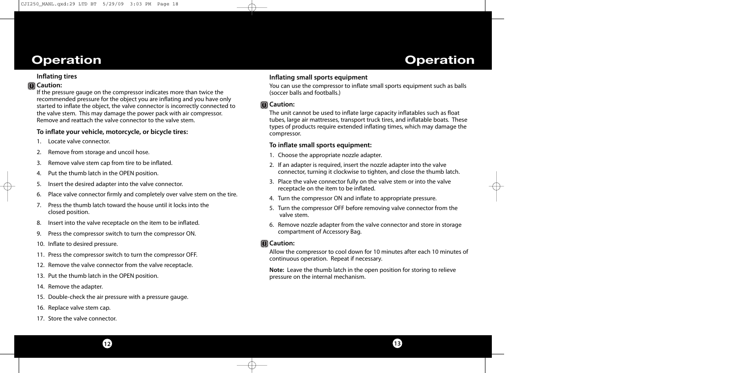# **Operation Operation**

### **Inflating tires**

# **Caution:**

If the pressure gauge on the compressor indicates more than twice the recommended pressure for the object you are inflating and you have only started to inflate the object, the valve connector is incorrectly connected to the valve stem. This may damage the power pack with air compressor. Remove and reattach the valve connector to the valve stem.

## **To inflate your vehicle, motorcycle, or bicycle tires:**

- 1. Locate valve connector.
- 2. Remove from storage and uncoil hose.
- 3. Remove valve stem cap from tire to be inflated.
- 4. Put the thumb latch in the OPEN position.
- 5. Insert the desired adapter into the valve connector.
- 6. Place valve connector firmly and completely over valve stem on the tire.
- 7. Press the thumb latch toward the house until it locks into the closed position.
- 8. Insert into the valve receptacle on the item to be inflated.
- 9. Press the compressor switch to turn the compressor ON.
- 10. Inflate to desired pressure.
- 11. Press the compressor switch to turn the compressor OFF.
- 12. Remove the valve connector from the valve receptacle.
- 13. Put the thumb latch in the OPEN position.
- 14. Remove the adapter.
- 15. Double-check the air pressure with a pressure gauge.
- 16. Replace valve stem cap.
- 17. Store the valve connector.

# **Inflating small sports equipment**

You can use the compressor to inflate small sports equipment such as balls (soccer balls and footballs.)

# **Caution:**

The unit cannot be used to inflate large capacity inflatables such as float tubes, large air mattresses, transport truck tires, and inflatable boats. These types of products require extended inflating times, which may damage the compressor.

# **To inflate small sports equipment:**

- 1. Choose the appropriate nozzle adapter.
- 2. If an adapter is required, insert the nozzle adapter into the valve connector, turning it clockwise to tighten, and close the thumb latch.
- 3. Place the valve connector fully on the valve stem or into the valve receptacle on the item to be inflated.
- 4. Turn the compressor ON and inflate to appropriate pressure.
- 5. Turn the compressor OFF before removing valve connector from the valve stem.
- 6. Remove nozzle adapter from the valve connector and store in storage compartment of Accessory Bag.

# **Caution:**

Allow the compressor to cool down for 10 minutes after each 10 minutes of continuous operation. Repeat if necessary.

**13**

**Note:** Leave the thumb latch in the open position for storing to relieve pressure on the internal mechanism.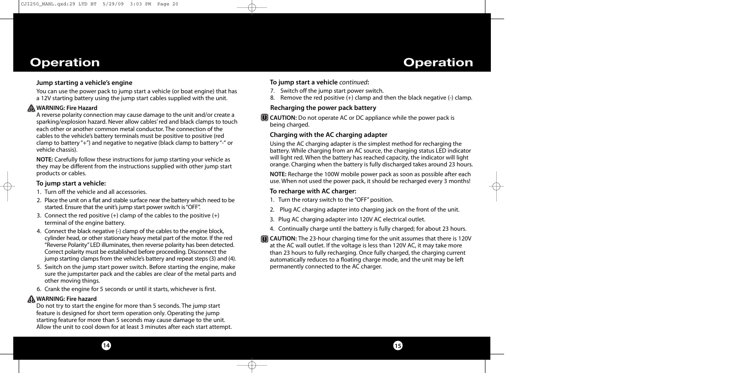# **Operation**

## **Jump starting a vehicle's engine**

You can use the power pack to jump start a vehicle (or boat engine) that has a 12V starting battery using the jump start cables supplied with the unit.

## **WARNING: Fire Hazard**

A reverse polarity connection may cause damage to the unit and/or create a sparking/explosion hazard. Never allow cables' red and black clamps to touch each other or another common metal conductor. The connection of the cables to the vehicle's battery terminals must be positive to positive (red clamp to battery "+") and negative to negative (black clamp to battery "-" or vehicle chassis).

**NOTE:** Carefully follow these instructions for jump starting your vehicle as they may be different from the instructions supplied with other jump start products or cables.

### **To jump start a vehicle:**

- 1. Turn off the vehicle and all accessories.
- 2. Place the unit on a flat and stable surface near the battery which need to be started. Ensure that the unit's jump start power switch is "OFF".
- 3. Connect the red positive  $(+)$  clamp of the cables to the positive  $(+)$ terminal of the engine battery.
- 4. Connect the black negative (-) clamp of the cables to the engine block, cylinder head, or other stationary heavy metal part of the motor. If the red "Reverse Polarity" LED illuminates, then reverse polarity has been detected. Correct polarity must be established before proceeding. Disconnect the jump starting clamps from the vehicle's battery and repeat steps (3) and (4).
- 5. Switch on the jump start power switch. Before starting the engine, make sure the jumpstarter pack and the cables are clear of the metal parts and other moving things.
- 6. Crank the engine for 5 seconds or until it starts, whichever is first.

**14**

## **A WARNING: Fire hazard**

Do not try to start the engine for more than 5 seconds. The jump start feature is designed for short term operation only. Operating the jump starting feature for more than 5 seconds may cause damage to the unit. Allow the unit to cool down for at least 3 minutes after each start attempt.

## **To jump start a vehicle** *continued***:**

- 7. Switch off the jump start power switch.
- 8. Remove the red positive  $(+)$  clamp and then the black negative  $(-)$  clamp.

**Operation**

## **Recharging the power pack battery**

**C** CAUTION: Do not operate AC or DC appliance while the power pack is being charged.

# **Charging with the AC charging adapter**

Using the AC charging adapter is the simplest method for recharging the battery. While charging from an AC source, the charging status LED indicator will light red. When the battery has reached capacity, the indicator will light orange. Charging when the battery is fully discharged takes around 23 hours.

**NOTE:** Recharge the 100W mobile power pack as soon as possible after each use. When not used the power pack, it should be recharged every 3 months!

## **To recharge with AC charger:**

- 1. Turn the rotary switch to the "OFF" position.
- 2. Plug AC charging adapter into charging jack on the front of the unit.
- 3. Plug AC charging adapter into 120V AC electrical outlet.
- 4. Continually charge until the battery is fully charged; for about 23 hours.
- **CAUTION:** The 23-hour charging time for the unit assumes that there is 120V at the AC wall outlet. If the voltage is less than 120V AC, it may take more than 23 hours to fully recharging. Once fully charged, the charging current automatically reduces to a floating charge mode, and the unit may be left permanently connected to the AC charger.

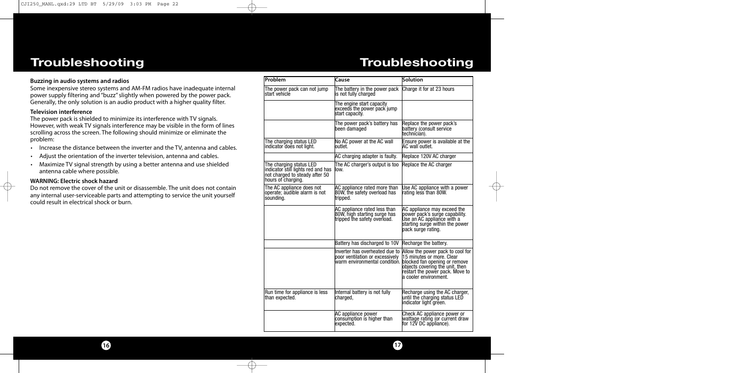# **Troubleshooting**

# **Troubleshooting**

#### **Buzzing in audio systems and radios**

Some inexpensive stereo systems and AM-FM radios have inadequate internal power supply filtering and "buzz" slightly when powered by the power pack. Generally, the only solution is an audio product with a higher quality filter.

#### **Television interference**

The power pack is shielded to minimize its interference with TV signals. However, with weak TV signals interference may be visible in the form of lines scrolling across the screen. The following should minimize or eliminate the problem:

- Increase the distance between the inverter and the TV, antenna and cables.
- Adjust the orientation of the inverter television, antenna and cables.
- Maximize TV signal strength by using a better antenna and use shielded antenna cable where possible.

#### **WARNING: Electric shock hazard**

Do not remove the cover of the unit or disassemble. The unit does not contain any internal user-serviceable parts and attempting to service the unit yourself could result in electrical shock or burn.

| Problem                                                                                                               | Cause                                                                                        | <b>Solution</b>                                                                                                                                                                                                             |
|-----------------------------------------------------------------------------------------------------------------------|----------------------------------------------------------------------------------------------|-----------------------------------------------------------------------------------------------------------------------------------------------------------------------------------------------------------------------------|
| The power pack can not jump<br>start vehicle                                                                          | The battery in the power pack<br>is not fully charged                                        | Charge it for at 23 hours                                                                                                                                                                                                   |
|                                                                                                                       | The engine start capacity<br>exceeds the power pack jump<br>start capacity.                  |                                                                                                                                                                                                                             |
|                                                                                                                       | The power pack's battery has<br>been damaged                                                 | Replace the power pack's<br>battery (consult service<br>ltechnician).                                                                                                                                                       |
| The charging status LED<br>indicator does not light.                                                                  | No AC power at the AC wall<br>outlet.                                                        | Ensure power is available at the<br>AC wall outlet.                                                                                                                                                                         |
|                                                                                                                       | AC charging adapter is faulty.                                                               | Replace 120V AC charger                                                                                                                                                                                                     |
| The charging status LED<br>indicator still lights red and has<br>not charged to steady after 50<br>hours of charging. | The AC charger's output is too<br>low.                                                       | Replace the AC charger                                                                                                                                                                                                      |
| The AC appliance does not<br>operate; audible alarm is not<br>sounding.                                               | AC appliance rated more than<br>80W, the safety overload has<br>tripped.                     | Use AC appliance with a power<br>rating less than 80W.                                                                                                                                                                      |
|                                                                                                                       | AC appliance rated less than<br>80W, high starting surge has<br>tripped the safety overload. | AC appliance may exceed the<br>power pack's surge capability.<br>Use an AC appliance with a<br>starting surge within the power<br>pack surge rating.                                                                        |
|                                                                                                                       | Battery has discharged to 10V Recharge the battery.                                          |                                                                                                                                                                                                                             |
|                                                                                                                       | Inverter has overheated due to<br>poor ventilation or excessively                            | Allow the power pack to cool for<br>15 minutes or more. Clear<br>warm environmental condition. blocked fan opening or remove<br>objects covering the unit, then<br>restart the power pack. Move to<br>a cooler environment. |
| Run time for appliance is less<br>than expected.                                                                      | Internal battery is not fully<br>charged,                                                    | Recharge using the AC charger,<br>until the charging status LED<br>indicator light green.                                                                                                                                   |
|                                                                                                                       | AC appliance power<br>consumption is higher than<br>expected.                                | Check AC appliance power or<br>wattage rating (or current draw<br>for 12V DC appliance).                                                                                                                                    |